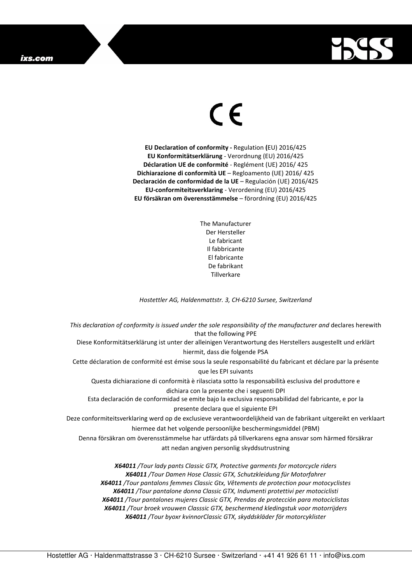## ixs.com



## $\in$

**EU Declaration of conformity -** Regulation **(**EU) 2016/425 **EU Konformitätserklärung** - Verordnung (EU) 2016/425 **Déclaration UE de conformité** - Reglément (UE) 2016/ 425 **Dichiarazione di conformità UE** – Regloamento (UE) 2016/ 425 **Declaración de conformidad de la UE** – Regulación (UE) 2016/425 **EU-conformiteitsverklaring** - Verordening (EU) 2016/425 **EU försäkran om överensstämmelse** – förordning (EU) 2016/425

> The Manufacturer Der Hersteller Le fabricant Il fabbricante El fabricante De fabrikant **Tillverkare**

*Hostettler AG, Haldenmattstr. 3, CH-6210 Sursee, Switzerland* 

*This declaration of conformity is issued under the sole responsibility of the manufacturer and* declares herewith that the following PPE Diese Konformitätserklärung ist unter der alleinigen Verantwortung des Herstellers ausgestellt und erklärt hiermit, dass die folgende PSA Cette déclaration de conformité est émise sous la seule responsabilité du fabricant et déclare par la présente que les EPI suivants Questa dichiarazione di conformità è rilasciata sotto la responsabilità esclusiva del produttore e dichiara con la presente che i seguenti DPI Esta declaración de conformidad se emite bajo la exclusiva responsabilidad del fabricante, e por la presente declara que el siguiente EPI Deze conformiteitsverklaring werd op de exclusieve verantwoordelijkheid van de fabrikant uitgereikt en verklaart hiermee dat het volgende persoonlijke beschermingsmiddel (PBM) Denna försäkran om överensstämmelse har utfärdats på tillverkarens egna ansvar som härmed försäkrar att nedan angiven personlig skyddsutrustning *X64011 /Tour lady pants Classic GTX, Protective garments for motorcycle riders* 

*X64011 /Tour Damen Hose Classic GTX, Schutzkleidung für Motorfahrer X64011 /Tour pantalons femmes Classic Gtx, Vêtements de protection pour motocyclistes X64011 /Tour pantalone donna Classic GTX, Indumenti protettivi per motociclisti X64011 /Tour pantalones mujeres Classic GTX, Prendas de protección para motociclistas X64011 /Tour broek vrouwen Classsic GTX, beschermend kledingstuk voor motorrijders X64011 /Tour byoxr kvinnorClassic GTX, skyddskläder för motorcyklister*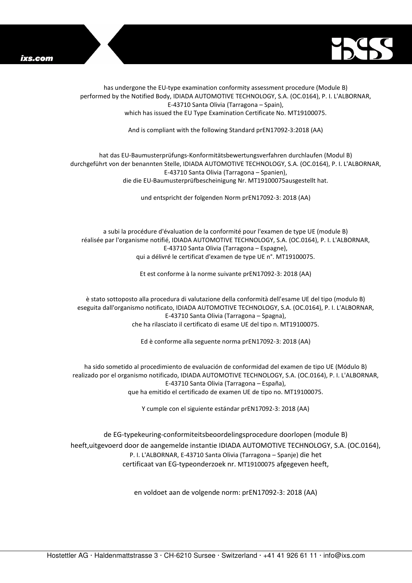



has undergone the EU-type examination conformity assessment procedure (Module B) performed by the Notified Body, IDIADA AUTOMOTIVE TECHNOLOGY, S.A. (OC.0164), P. I. L'ALBORNAR, E-43710 Santa Olivia (Tarragona – Spain), which has issued the EU Type Examination Certificate No. MT19100075.

And is compliant with the following Standard prEN17092-3:2018 (AA)

## hat das EU-Baumusterprüfungs-Konformitätsbewertungsverfahren durchlaufen (Modul B) durchgeführt von der benannten Stelle, IDIADA AUTOMOTIVE TECHNOLOGY, S.A. (OC.0164), P. I. L'ALBORNAR, E-43710 Santa Olivia (Tarragona – Spanien), die die EU-Baumusterprüfbescheinigung Nr. MT19100075ausgestellt hat.

und entspricht der folgenden Norm prEN17092-3: 2018 (AA)

a subi la procédure d'évaluation de la conformité pour l'examen de type UE (module B) réalisée par l'organisme notifié, IDIADA AUTOMOTIVE TECHNOLOGY, S.A. (OC.0164), P. I. L'ALBORNAR, E-43710 Santa Olivia (Tarragona – Espagne), qui a délivré le certificat d'examen de type UE n°. MT19100075.

Et est conforme à la norme suivante prEN17092-3: 2018 (AA)

è stato sottoposto alla procedura di valutazione della conformità dell'esame UE del tipo (modulo B) eseguita dall'organismo notificato, IDIADA AUTOMOTIVE TECHNOLOGY, S.A. (OC.0164), P. I. L'ALBORNAR, E-43710 Santa Olivia (Tarragona – Spagna), che ha rilasciato il certificato di esame UE del tipo n. MT19100075.

Ed è conforme alla seguente norma prEN17092-3: 2018 (AA)

ha sido sometido al procedimiento de evaluación de conformidad del examen de tipo UE (Módulo B) realizado por el organismo notificado, IDIADA AUTOMOTIVE TECHNOLOGY, S.A. (OC.0164), P. I. L'ALBORNAR, E-43710 Santa Olivia (Tarragona – España), que ha emitido el certificado de examen UE de tipo no. MT19100075.

Y cumple con el siguiente estándar prEN17092-3: 2018 (AA)

de EG-typekeuring-conformiteitsbeoordelingsprocedure doorlopen (module B) heeft,uitgevoerd door de aangemelde instantie IDIADA AUTOMOTIVE TECHNOLOGY, S.A. (OC.0164), P. I. L'ALBORNAR, E-43710 Santa Olivia (Tarragona – Spanje) die het certificaat van EG-typeonderzoek nr. MT19100075 afgegeven heeft,

en voldoet aan de volgende norm: prEN17092-3: 2018 (AA)